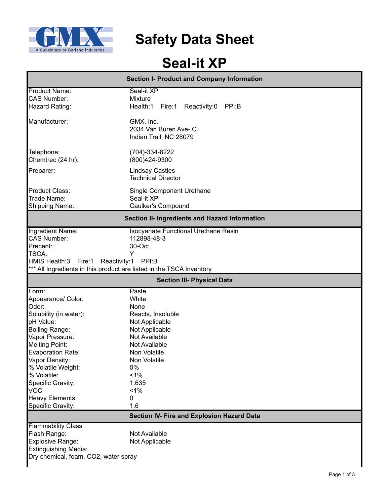

**Safety Data Sheet**

# **Seal-it XP**

|                                            | <b>Section I- Product and Company Information</b>                    |  |  |  |
|--------------------------------------------|----------------------------------------------------------------------|--|--|--|
| <b>Product Name:</b><br><b>CAS Number:</b> | Seal-it XP<br><b>Mixture</b>                                         |  |  |  |
| Hazard Rating:                             | Health:1<br>Reactivity:0<br>PPI:B<br>Fire:1                          |  |  |  |
| Manufacturer:                              | GMX, Inc.<br>2034 Van Buren Ave- C<br>Indian Trail, NC 28079         |  |  |  |
| Telephone:<br>Chemtrec (24 hr):            | (704)-334-8222<br>(800)424-9300                                      |  |  |  |
| Preparer:                                  | <b>Lindsay Castles</b><br><b>Technical Director</b>                  |  |  |  |
| <b>Product Class:</b><br>Trade Name:       | <b>Single Component Urethane</b><br>Seal-it XP                       |  |  |  |
| Shipping Name:                             | Caulker's Compound                                                   |  |  |  |
|                                            | Section II- Ingredients and Hazard Information                       |  |  |  |
| Ingredient Name:                           | <b>Isocyanate Functional Urethane Resin</b>                          |  |  |  |
| <b>CAS Number:</b>                         | 112898-48-3                                                          |  |  |  |
| Precent:                                   | 30-Oct                                                               |  |  |  |
| <b>TSCA:</b>                               | Y                                                                    |  |  |  |
| HMIS Health:3 Fire:1                       | Reactivity:1<br>PPI:B                                                |  |  |  |
|                                            | *** All Ingredients in this product are listed in the TSCA Inventory |  |  |  |
|                                            | <b>Section III- Physical Data</b>                                    |  |  |  |
| Form:                                      | Paste                                                                |  |  |  |
| Appearance/ Color:                         | White                                                                |  |  |  |
| Odor:                                      | None                                                                 |  |  |  |
| Solubility (in water):                     | Reacts, Insoluble                                                    |  |  |  |
| pH Value:                                  | Not Applicable                                                       |  |  |  |
| <b>Boiling Range:</b>                      | Not Applicable                                                       |  |  |  |
| Vapor Pressure:                            | Not Available                                                        |  |  |  |
| <b>Melting Point:</b>                      | Not Available                                                        |  |  |  |
| <b>Evaporation Rate:</b>                   | Non Volatile                                                         |  |  |  |
| Vapor Density:                             | Non Volatile                                                         |  |  |  |
| % Volatile Weight:                         | 0%                                                                   |  |  |  |
| % Volatile:                                | 1%                                                                   |  |  |  |
| Specific Gravity:                          | 1.635                                                                |  |  |  |
| <b>VOC</b>                                 | $< 1\%$                                                              |  |  |  |
| <b>Heavy Elements:</b>                     | 0                                                                    |  |  |  |
| Specific Gravity:                          | 1.6                                                                  |  |  |  |
|                                            | Section IV- Fire and Explosion Hazard Data                           |  |  |  |
| <b>Flammability Class</b>                  |                                                                      |  |  |  |
| Flash Range:                               | Not Available                                                        |  |  |  |
| Explosive Range:                           | Not Applicable                                                       |  |  |  |
| Extinguishing Media:                       |                                                                      |  |  |  |
| Dry chemical, foam, CO2, water spray       |                                                                      |  |  |  |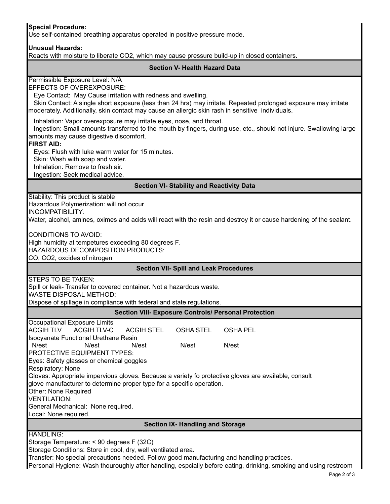# **Special Procedure:**

Use self-contained breathing apparatus operated in positive pressure mode.

#### **Unusual Hazards:**

Reacts with moisture to liberate CO2, which may cause pressure build-up in closed containers.

## **Section V- Health Hazard Data**

Permissible Exposure Level: N/A

EFFECTS OF OVEREXPOSURE:

Eye Contact: May Cause irritation with redness and swelling.

 Skin Contact: A single short exposure (less than 24 hrs) may irritate. Repeated prolonged exposure may irritate moderately. Additionally, skin contact may cause an allergic skin rash in sensitive individuals.

Inhalation: Vapor overexposure may irritate eyes, nose, and throat.

 Ingestion: Small amounts transferred to the mouth by fingers, during use, etc., should not injure. Swallowing large amounts may cause digestive discomfort.

#### **FIRST AID:**

Eyes: Flush with luke warm water for 15 minutes.

Skin: Wash with soap and water.

Inhalation: Remove to fresh air.

Ingestion: Seek medical advice.

**Section VI- Stability and Reactivity Data**

Stability: This product is stable Hazardous Polymerization: will not occur

INCOMPATIBILITY:

Water, alcohol, amines, oximes and acids will react with the resin and destroy it or cause hardening of the sealant.

HAZARDOUS DECOMPOSITION PRODUCTS: High humidity at tempetures exceeding 80 degrees F. CONDITIONS TO AVOID: CO, CO2, oxcides of nitrogen

## **Section VII- Spill and Leak Procedures**

STEPS TO BE TAKEN:

Spill or leak- Transfer to covered container. Not a hazardous waste.

WASTE DISPOSAL METHOD:

Dispose of spillage in compliance with federal and state regulations.

## **Section VIII- Exposure Controls/ Personal Protection**

| Occupational Exposure Limits                                                                         |                              |            |           |                 |  |  |  |
|------------------------------------------------------------------------------------------------------|------------------------------|------------|-----------|-----------------|--|--|--|
|                                                                                                      | ACGIH TLV        ACGIH TLV-C | ACGIH STEL | OSHA STEL | <b>OSHA PEL</b> |  |  |  |
| <b>Isocyanate Functional Urethane Resin</b>                                                          |                              |            |           |                 |  |  |  |
| N/est                                                                                                | N/est                        | N/est      | N/est     | N/est           |  |  |  |
| PROTECTIVE EQUIPMENT TYPES:                                                                          |                              |            |           |                 |  |  |  |
| Eyes: Safety glasses or chemical goggles                                                             |                              |            |           |                 |  |  |  |
| Respiratory: None                                                                                    |                              |            |           |                 |  |  |  |
| Gloves: Appropriate impervious gloves. Because a variety fo protective gloves are available, consult |                              |            |           |                 |  |  |  |
| glove manufacturer to determine proper type for a specific operation.                                |                              |            |           |                 |  |  |  |
| Other: None Required                                                                                 |                              |            |           |                 |  |  |  |
| VENTILATION:                                                                                         |                              |            |           |                 |  |  |  |
| General Mechanical: None required.                                                                   |                              |            |           |                 |  |  |  |
| Local: None required.                                                                                |                              |            |           |                 |  |  |  |

**Section IX- Handling and Storage**

HANDLING:

Storage Temperature: < 90 degrees F (32C)

Storage Conditions: Store in cool, dry, well ventilated area.

Transfer: No special precautions needed. Follow good manufacturing and handling practices.

Personal Hygiene: Wash thouroughly after handling, espcially before eating, drinking, smoking and using restroom